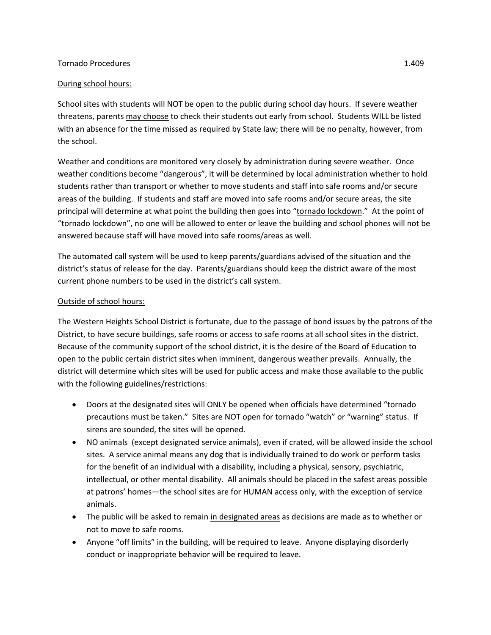## Tornado Procedures 1.409

## During school hours:

School sites with students will NOT be open to the public during school day hours. If severe weather threatens, parents may choose to check their students out early from school. Students WILL be listed with an absence for the time missed as required by State law; there will be no penalty, however, from the school.

Weather and conditions are monitored very closely by administration during severe weather. Once weather conditions become "dangerous", it will be determined by local administration whether to hold students rather than transport or whether to move students and staff into safe rooms and/or secure areas of the building. If students and staff are moved into safe rooms and/or secure areas, the site principal will determine at what point the building then goes into "tornado lockdown." At the point of "tornado lockdown", no one will be allowed to enter or leave the building and school phones will not be answered because staff will have moved into safe rooms/areas as well.

The automated call system will be used to keep parents/guardians advised of the situation and the district's status of release for the day. Parents/guardians should keep the district aware of the most current phone numbers to be used in the district's call system.

## Outside of school hours:

The Western Heights School District is fortunate, due to the passage of bond issues by the patrons of the District, to have secure buildings, safe rooms or access to safe rooms at all school sites in the district. Because of the community support of the school district, it is the desire of the Board of Education to open to the public certain district sites when imminent, dangerous weather prevails. Annually, the district will determine which sites will be used for public access and make those available to the public with the following guidelines/restrictions:

- Doors at the designated sites will ONLY be opened when officials have determined "tornado precautions must be taken." Sites are NOT open for tornado "watch" or "warning" status. If sirens are sounded, the sites will be opened.
- NO animals (except designated service animals), even if crated, will be allowed inside the school sites. A service animal means any dog that is individually trained to do work or perform tasks for the benefit of an individual with a disability, including a physical, sensory, psychiatric, intellectual, or other mental disability. All animals should be placed in the safest areas possible at patrons' homes—the school sites are for HUMAN access only, with the exception of service animals.
- The public will be asked to remain in designated areas as decisions are made as to whether or not to move to safe rooms.
- Anyone "off limits" in the building, will be required to leave. Anyone displaying disorderly conduct or inappropriate behavior will be required to leave.